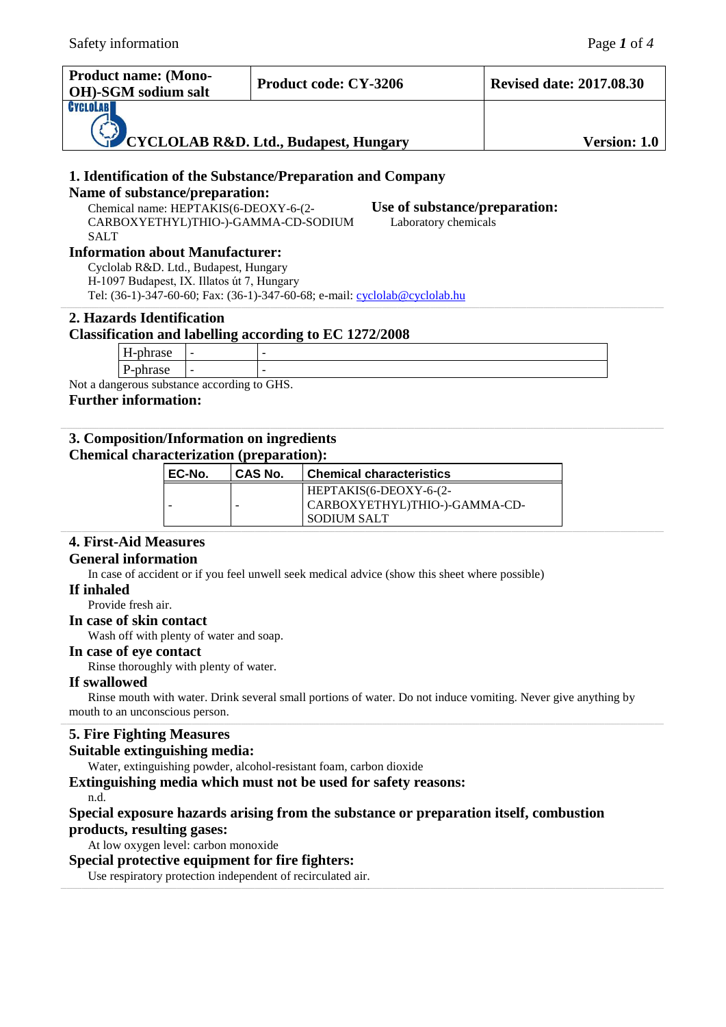| <b>Product name: (Mono-</b><br>OH)-SGM sodium salt                           | <b>Product code: CY-3206</b> | <b>Revised date: 2017.08.30</b> |
|------------------------------------------------------------------------------|------------------------------|---------------------------------|
| <b>CYCLOLAB</b><br>$\sum_{i=1}^{n}$<br>CYCLOLAB R&D. Ltd., Budapest, Hungary |                              | <b>Version: 1.0</b>             |

# **1. Identification of the Substance/Preparation and Company**

# **Name of substance/preparation:**

Chemical name: HEPTAKIS(6-DEOXY-6-(2- CARBOXYETHYL)THIO-)-GAMMA-CD-SODIUM SALT

**Use of substance/preparation:** Laboratory chemicals

# **Information about Manufacturer:**

Cyclolab R&D. Ltd., Budapest, Hungary H-1097 Budapest, IX. Illatos út 7, Hungary Tel: (36-1)-347-60-60; Fax: (36-1)-347-60-68; e-mail: [cyclolab@cyclolab.hu](mailto:cyclolab@cyclolab.hu)

# **2. Hazards Identification**

# **Classification and labelling according to EC 1272/2008**

|                                     | - | - |
|-------------------------------------|---|---|
|                                     | - | - |
| engerous substance according to CHC |   |   |

Not a dangerous substance according to GHS.

# **Further information:**

# **3. Composition/Information on ingredients**

# **Chemical characterization (preparation):**

| EC-No. | CAS No. | l Chemical characteristics                                                        |  |
|--------|---------|-----------------------------------------------------------------------------------|--|
|        |         | $HEPTAKIS(6-DEOXY-6-(2-$<br>  CARBOXYETHYL)THIO-)-GAMMA-CD-<br><b>SODIUM SALT</b> |  |

# **4. First-Aid Measures**

# **General information**

In case of accident or if you feel unwell seek medical advice (show this sheet where possible)

## **If inhaled**

Provide fresh air.

**In case of skin contact**

Wash off with plenty of water and soap.

## **In case of eye contact**

Rinse thoroughly with plenty of water.

## **If swallowed**

Rinse mouth with water. Drink several small portions of water. Do not induce vomiting. Never give anything by mouth to an unconscious person.

# **5. Fire Fighting Measures**

# **Suitable extinguishing media:**

Water, extinguishing powder, alcohol-resistant foam, carbon dioxide

## **Extinguishing media which must not be used for safety reasons:**

n.d.

# **Special exposure hazards arising from the substance or preparation itself, combustion products, resulting gases:**

At low oxygen level: carbon monoxide

## **Special protective equipment for fire fighters:**

Use respiratory protection independent of recirculated air.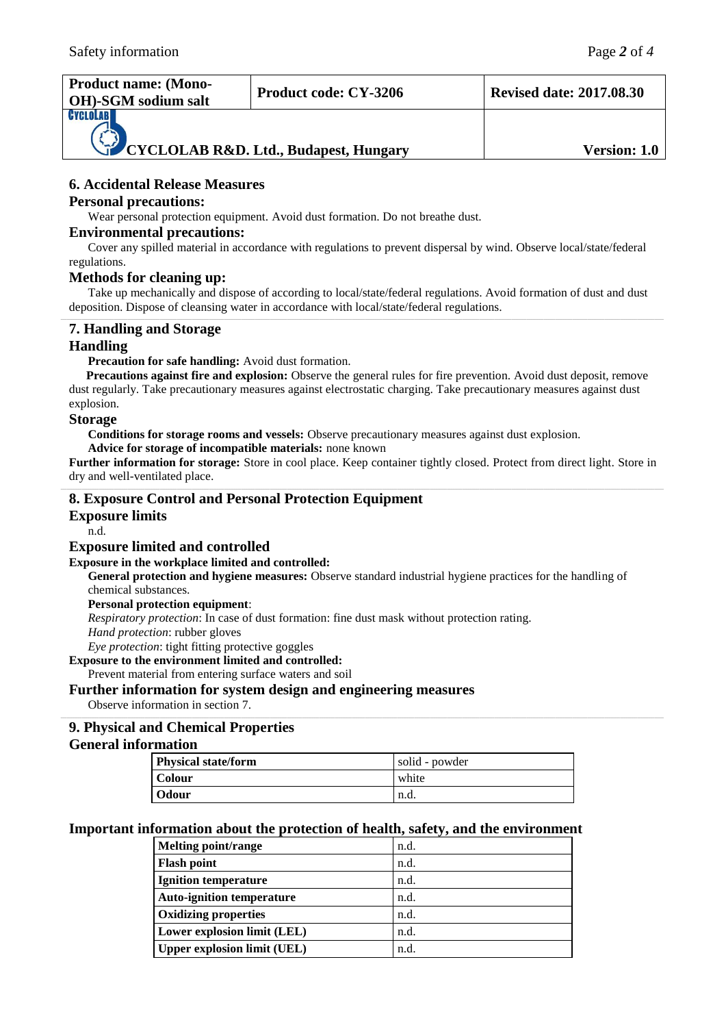| <b>Product name: (Mono-</b><br><b>OH</b> )-SGM sodium salt | <b>Product code: CY-3206</b> | <b>Revised date: 2017.08.30</b> |
|------------------------------------------------------------|------------------------------|---------------------------------|
| CYCLOLABI<br>CYCLOLAB R&D. Ltd., Budapest, Hungary         |                              | <b>Version: 1.0</b>             |

# **6. Accidental Release Measures**

#### **Personal precautions:**

Wear personal protection equipment. Avoid dust formation. Do not breathe dust.

#### **Environmental precautions:**

Cover any spilled material in accordance with regulations to prevent dispersal by wind. Observe local/state/federal regulations.

#### **Methods for cleaning up:**

Take up mechanically and dispose of according to local/state/federal regulations. Avoid formation of dust and dust deposition. Dispose of cleansing water in accordance with local/state/federal regulations.

# **7. Handling and Storage**

# **Handling**

Precaution for safe handling: Avoid dust formation.

**Precautions against fire and explosion:** Observe the general rules for fire prevention. Avoid dust deposit, remove dust regularly. Take precautionary measures against electrostatic charging. Take precautionary measures against dust explosion.

#### **Storage**

**Conditions for storage rooms and vessels:** Observe precautionary measures against dust explosion.

**Advice for storage of incompatible materials:** none known

**Further information for storage:** Store in cool place. Keep container tightly closed. Protect from direct light. Store in dry and well-ventilated place.

## **8. Exposure Control and Personal Protection Equipment**

**Exposure limits**

n.d.

#### **Exposure limited and controlled**

#### **Exposure in the workplace limited and controlled:**

**General protection and hygiene measures:** Observe standard industrial hygiene practices for the handling of chemical substances.

**Personal protection equipment**:

*Respiratory protection*: In case of dust formation: fine dust mask without protection rating.

*Hand protection*: rubber gloves

*Eye protection*: tight fitting protective goggles

**Exposure to the environment limited and controlled:**

Prevent material from entering surface waters and soil

## **Further information for system design and engineering measures**

Observe information in section 7.

# **9. Physical and Chemical Properties**

#### **General information**

| <b>Physical state/form</b> | solid - powder |
|----------------------------|----------------|
| <b>Colour</b>              | white          |
| Odour                      | n.d.           |

## **Important information about the protection of health, safety, and the environment**

| <b>Melting point/range</b>         | n.d. |
|------------------------------------|------|
| <b>Flash point</b>                 | n.d. |
| <b>Ignition temperature</b>        | n.d. |
| <b>Auto-ignition temperature</b>   | n.d. |
| <b>Oxidizing properties</b>        | n.d. |
| Lower explosion limit (LEL)        | n.d. |
| <b>Upper explosion limit (UEL)</b> | n.d. |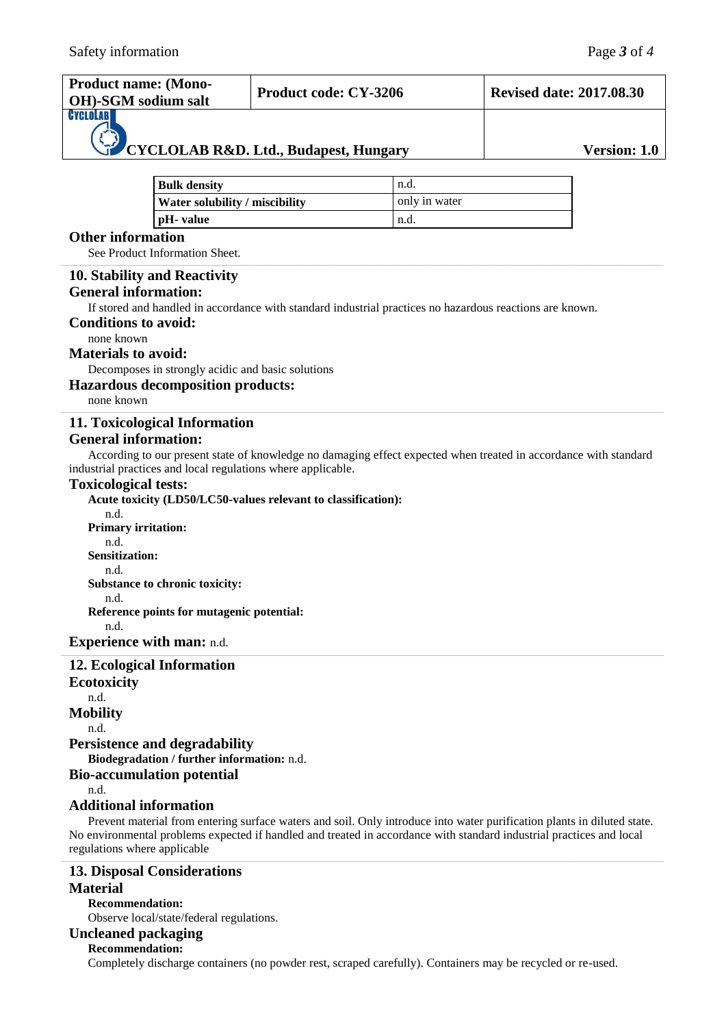| <b>Product name: (Mono-</b><br><b>OH</b> )-SGM sodium salt | <b>Product code: CY-3206</b> | <b>Revised date: 2017.08.30</b> |
|------------------------------------------------------------|------------------------------|---------------------------------|
| <b>GYGLOLAB</b><br>CYCLOLAB R&D. Ltd., Budapest, Hungary   |                              | <b>Version: 1.0</b>             |

| <b>Bulk density</b>            | n.d.          |
|--------------------------------|---------------|
| Water solubility / miscibility | only in water |
| pH- value                      | n.d.          |

# **Other information**

See Product Information Sheet.

# **10. Stability and Reactivity**

### **General information:**

If stored and handled in accordance with standard industrial practices no hazardous reactions are known.

#### **Conditions to avoid:**

none known

### **Materials to avoid:**

Decomposes in strongly acidic and basic solutions

### **Hazardous decomposition products:**

none known

## **11. Toxicological Information**

#### **General information:**

According to our present state of knowledge no damaging effect expected when treated in accordance with standard industrial practices and local regulations where applicable.

#### **Toxicological tests:**

**Acute toxicity (LD50/LC50-values relevant to classification):** n.d. **Primary irritation:** n.d. **Sensitization:** n.d. **Substance to chronic toxicity:** n.d. **Reference points for mutagenic potential:** n.d. **Experience with man:** n.d. **12. Ecological Information**

**Ecotoxicity** n.d. **Mobility** n.d. **Persistence and degradability Biodegradation / further information:** n.d. **Bio-accumulation potential** n.d. **Additional information**

Prevent material from entering surface waters and soil. Only introduce into water purification plants in diluted state. No environmental problems expected if handled and treated in accordance with standard industrial practices and local regulations where applicable

# **13. Disposal Considerations Material**

**Recommendation:**  Observe local/state/federal regulations.

# **Uncleaned packaging**

**Recommendation:** 

Completely discharge containers (no powder rest, scraped carefully). Containers may be recycled or re-used.